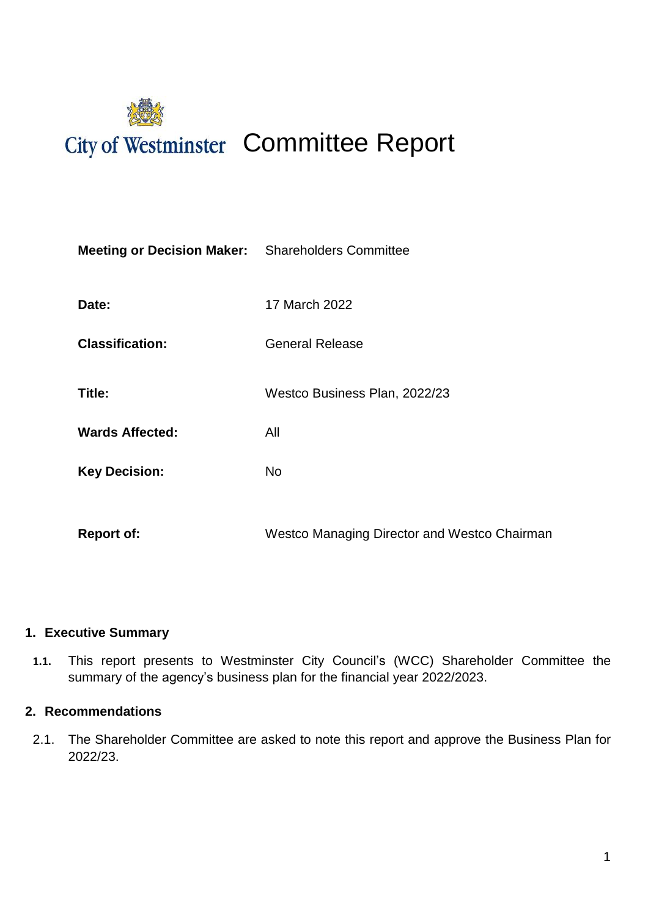

| <b>Meeting or Decision Maker:</b> Shareholders Committee |                                              |  |  |
|----------------------------------------------------------|----------------------------------------------|--|--|
| Date:                                                    | 17 March 2022                                |  |  |
| <b>Classification:</b>                                   | <b>General Release</b>                       |  |  |
| Title:                                                   | Westco Business Plan, 2022/23                |  |  |
| <b>Wards Affected:</b>                                   | All                                          |  |  |
| <b>Key Decision:</b>                                     | <b>No</b>                                    |  |  |
| <b>Report of:</b>                                        | Westco Managing Director and Westco Chairman |  |  |
|                                                          |                                              |  |  |

### **1. Executive Summary**

**1.1.** This report presents to Westminster City Council's (WCC) Shareholder Committee the summary of the agency's business plan for the financial year 2022/2023.

#### **2. Recommendations**

2.1. The Shareholder Committee are asked to note this report and approve the Business Plan for 2022/23.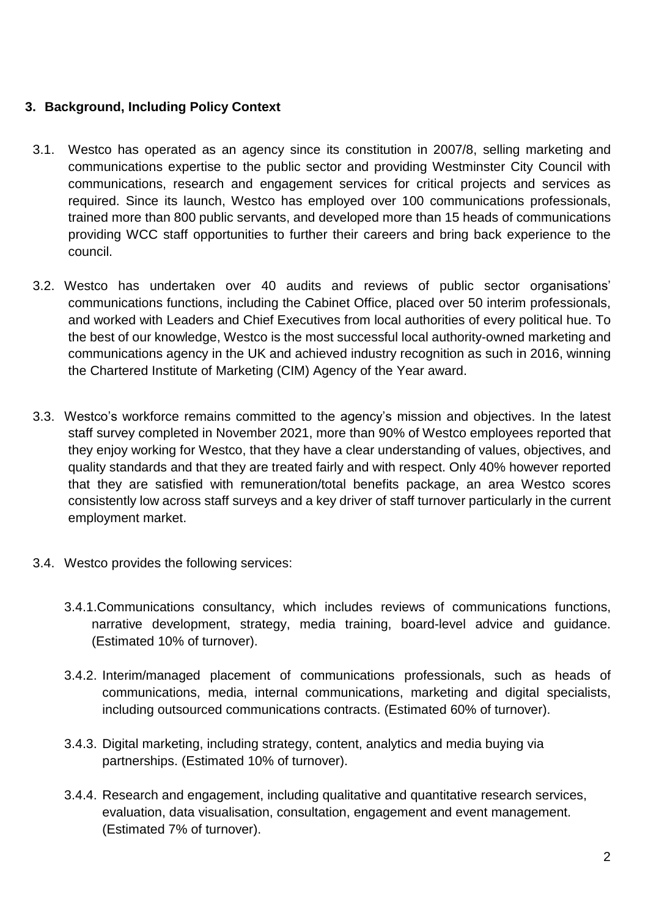### **3. Background, Including Policy Context**

- 3.1. Westco has operated as an agency since its constitution in 2007/8, selling marketing and communications expertise to the public sector and providing Westminster City Council with communications, research and engagement services for critical projects and services as required. Since its launch, Westco has employed over 100 communications professionals, trained more than 800 public servants, and developed more than 15 heads of communications providing WCC staff opportunities to further their careers and bring back experience to the council.
- 3.2. Westco has undertaken over 40 audits and reviews of public sector organisations' communications functions, including the Cabinet Office, placed over 50 interim professionals, and worked with Leaders and Chief Executives from local authorities of every political hue. To the best of our knowledge, Westco is the most successful local authority-owned marketing and communications agency in the UK and achieved industry recognition as such in 2016, winning the Chartered Institute of Marketing (CIM) Agency of the Year award.
- 3.3. Westco's workforce remains committed to the agency's mission and objectives. In the latest staff survey completed in November 2021, more than 90% of Westco employees reported that they enjoy working for Westco, that they have a clear understanding of values, objectives, and quality standards and that they are treated fairly and with respect. Only 40% however reported that they are satisfied with remuneration/total benefits package, an area Westco scores consistently low across staff surveys and a key driver of staff turnover particularly in the current employment market.
- 3.4. Westco provides the following services:
	- 3.4.1.Communications consultancy, which includes reviews of communications functions, narrative development, strategy, media training, board-level advice and guidance. (Estimated 10% of turnover).
	- 3.4.2. Interim/managed placement of communications professionals, such as heads of communications, media, internal communications, marketing and digital specialists, including outsourced communications contracts. (Estimated 60% of turnover).
	- 3.4.3. Digital marketing, including strategy, content, analytics and media buying via partnerships. (Estimated 10% of turnover).
	- 3.4.4. Research and engagement, including qualitative and quantitative research services, evaluation, data visualisation, consultation, engagement and event management. (Estimated 7% of turnover).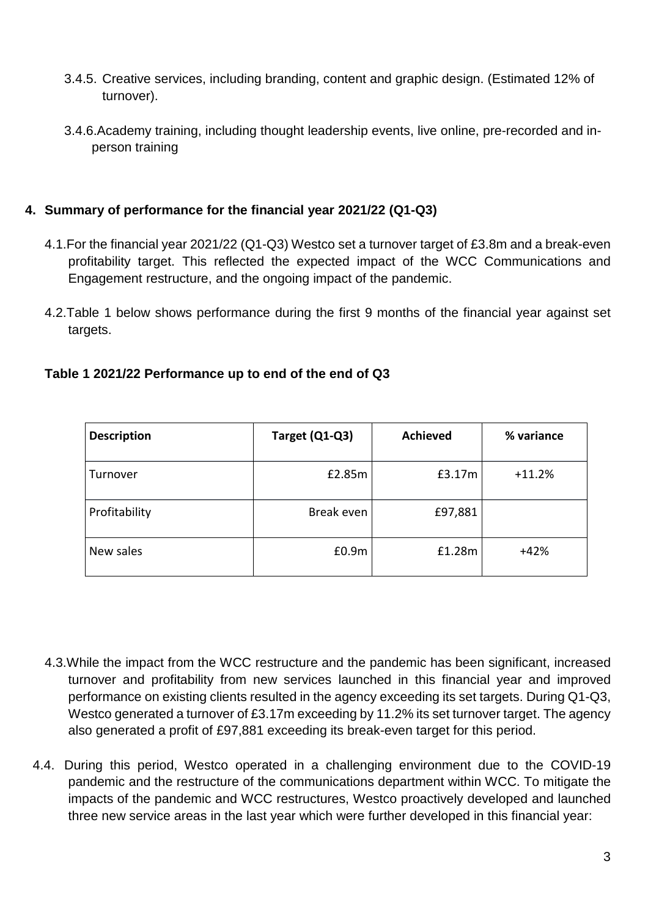- 3.4.5. Creative services, including branding, content and graphic design. (Estimated 12% of turnover).
- 3.4.6.Academy training, including thought leadership events, live online, pre-recorded and inperson training

### **4. Summary of performance for the financial year 2021/22 (Q1-Q3)**

- 4.1.For the financial year 2021/22 (Q1-Q3) Westco set a turnover target of £3.8m and a break-even profitability target. This reflected the expected impact of the WCC Communications and Engagement restructure, and the ongoing impact of the pandemic.
- 4.2.Table 1 below shows performance during the first 9 months of the financial year against set targets.

| <b>Description</b> | Target (Q1-Q3) | <b>Achieved</b> | % variance |
|--------------------|----------------|-----------------|------------|
| Turnover           | £2.85m         | £3.17m          | $+11.2%$   |
| Profitability      | Break even     | £97,881         |            |
| New sales          | £0.9m          | £1.28m          | $+42%$     |

### **Table 1 2021/22 Performance up to end of the end of Q3**

- 4.3.While the impact from the WCC restructure and the pandemic has been significant, increased turnover and profitability from new services launched in this financial year and improved performance on existing clients resulted in the agency exceeding its set targets. During Q1-Q3, Westco generated a turnover of £3.17m exceeding by 11.2% its set turnover target. The agency also generated a profit of £97,881 exceeding its break-even target for this period.
- 4.4. During this period, Westco operated in a challenging environment due to the COVID-19 pandemic and the restructure of the communications department within WCC. To mitigate the impacts of the pandemic and WCC restructures, Westco proactively developed and launched three new service areas in the last year which were further developed in this financial year: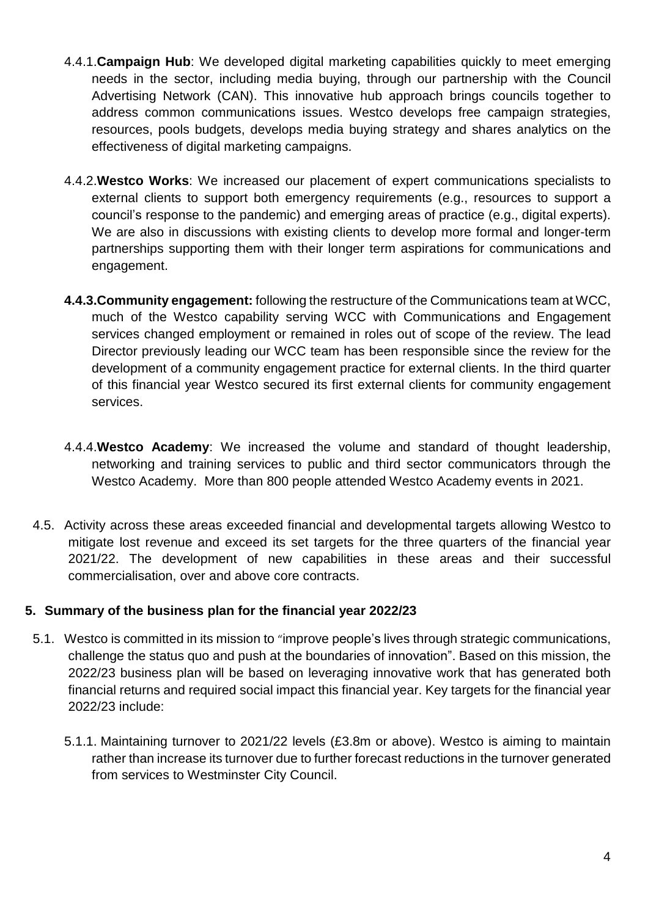- 4.4.1.**Campaign Hub**: We developed digital marketing capabilities quickly to meet emerging needs in the sector, including media buying, through our partnership with the Council Advertising Network (CAN). This innovative hub approach brings councils together to address common communications issues. Westco develops free campaign strategies, resources, pools budgets, develops media buying strategy and shares analytics on the effectiveness of digital marketing campaigns.
- 4.4.2.**Westco Works**: We increased our placement of expert communications specialists to external clients to support both emergency requirements (e.g., resources to support a council's response to the pandemic) and emerging areas of practice (e.g., digital experts). We are also in discussions with existing clients to develop more formal and longer-term partnerships supporting them with their longer term aspirations for communications and engagement.
- **4.4.3.Community engagement:** following the restructure of the Communications team at WCC, much of the Westco capability serving WCC with Communications and Engagement services changed employment or remained in roles out of scope of the review. The lead Director previously leading our WCC team has been responsible since the review for the development of a community engagement practice for external clients. In the third quarter of this financial year Westco secured its first external clients for community engagement services.
- 4.4.4.**Westco Academy**: We increased the volume and standard of thought leadership, networking and training services to public and third sector communicators through the Westco Academy. More than 800 people attended Westco Academy events in 2021.
- 4.5. Activity across these areas exceeded financial and developmental targets allowing Westco to mitigate lost revenue and exceed its set targets for the three quarters of the financial year 2021/22. The development of new capabilities in these areas and their successful commercialisation, over and above core contracts.

# **5. Summary of the business plan for the financial year 2022/23**

- 5.1. Westco is committed in its mission to "improve people's lives through strategic communications, challenge the status quo and push at the boundaries of innovation". Based on this mission, the 2022/23 business plan will be based on leveraging innovative work that has generated both financial returns and required social impact this financial year. Key targets for the financial year 2022/23 include:
	- 5.1.1. Maintaining turnover to 2021/22 levels (£3.8m or above). Westco is aiming to maintain rather than increase its turnover due to further forecast reductions in the turnover generated from services to Westminster City Council.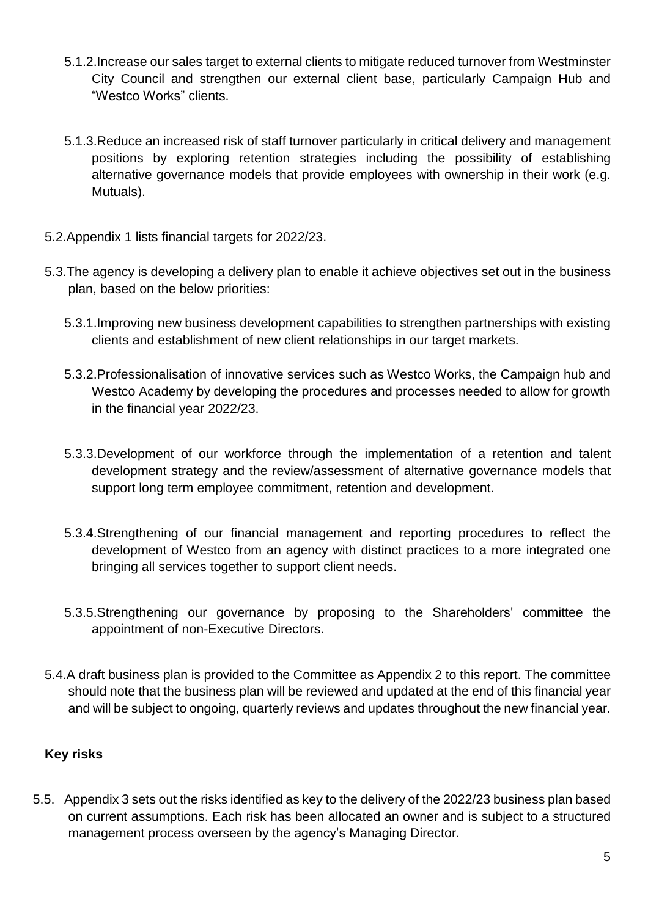- 5.1.2.Increase our sales target to external clients to mitigate reduced turnover from Westminster City Council and strengthen our external client base, particularly Campaign Hub and "Westco Works" clients.
- 5.1.3.Reduce an increased risk of staff turnover particularly in critical delivery and management positions by exploring retention strategies including the possibility of establishing alternative governance models that provide employees with ownership in their work (e.g. Mutuals).
- 5.2.Appendix 1 lists financial targets for 2022/23.
- 5.3.The agency is developing a delivery plan to enable it achieve objectives set out in the business plan, based on the below priorities:
	- 5.3.1.Improving new business development capabilities to strengthen partnerships with existing clients and establishment of new client relationships in our target markets.
	- 5.3.2.Professionalisation of innovative services such as Westco Works, the Campaign hub and Westco Academy by developing the procedures and processes needed to allow for growth in the financial year 2022/23.
	- 5.3.3.Development of our workforce through the implementation of a retention and talent development strategy and the review/assessment of alternative governance models that support long term employee commitment, retention and development.
	- 5.3.4.Strengthening of our financial management and reporting procedures to reflect the development of Westco from an agency with distinct practices to a more integrated one bringing all services together to support client needs.
	- 5.3.5.Strengthening our governance by proposing to the Shareholders' committee the appointment of non-Executive Directors.
- 5.4.A draft business plan is provided to the Committee as Appendix 2 to this report. The committee should note that the business plan will be reviewed and updated at the end of this financial year and will be subject to ongoing, quarterly reviews and updates throughout the new financial year.

# **Key risks**

5.5. Appendix 3 sets out the risks identified as key to the delivery of the 2022/23 business plan based on current assumptions. Each risk has been allocated an owner and is subject to a structured management process overseen by the agency's Managing Director.